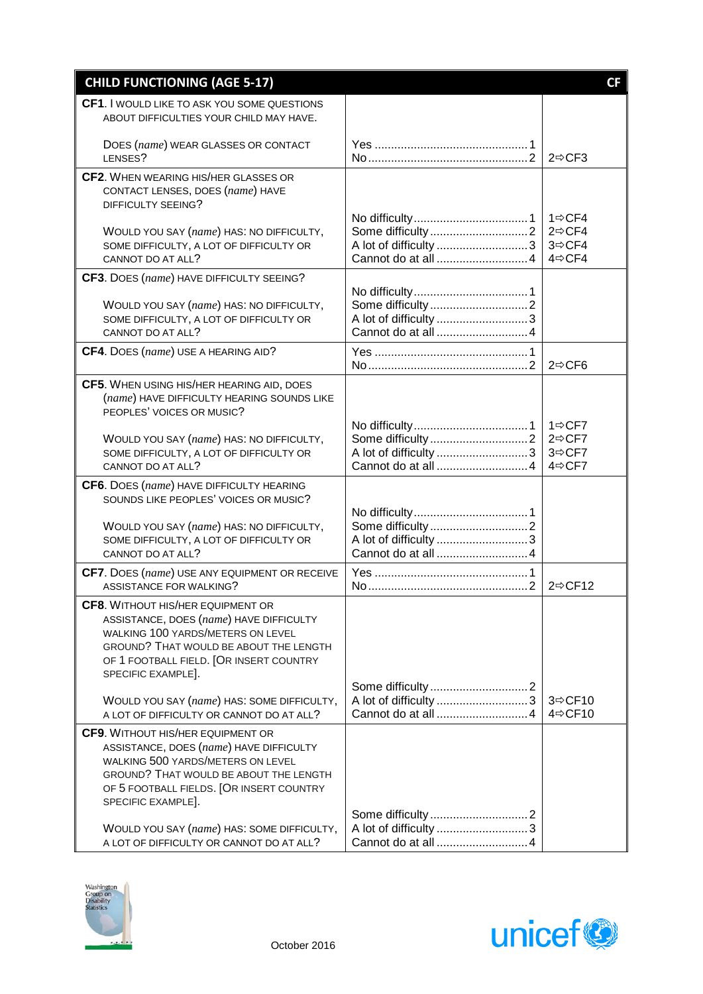| <b>CHILD FUNCTIONING (AGE 5-17)</b>                                                      |                       | <b>CF</b>                                  |
|------------------------------------------------------------------------------------------|-----------------------|--------------------------------------------|
| CF1. I WOULD LIKE TO ASK YOU SOME QUESTIONS                                              |                       |                                            |
| ABOUT DIFFICULTIES YOUR CHILD MAY HAVE.                                                  |                       |                                            |
| DOES (name) WEAR GLASSES OR CONTACT                                                      |                       |                                            |
| LENSES?<br>CF2. WHEN WEARING HIS/HER GLASSES OR                                          |                       | $2 \Rightarrow CF3$                        |
| CONTACT LENSES, DOES (name) HAVE                                                         |                       |                                            |
| DIFFICULTY SEEING?                                                                       |                       |                                            |
| WOULD YOU SAY (name) HAS: NO DIFFICULTY,                                                 |                       | $1 \Rightarrow CFA$<br>$2 \Rightarrow CFA$ |
| SOME DIFFICULTY, A LOT OF DIFFICULTY OR                                                  | A lot of difficulty 3 | $3 \Rightarrow CFA$                        |
| CANNOT DO AT ALL?                                                                        |                       | $4 \Rightarrow CFA$                        |
| CF3. DOES (name) HAVE DIFFICULTY SEEING?                                                 |                       |                                            |
| WOULD YOU SAY (name) HAS: NO DIFFICULTY,                                                 |                       |                                            |
| SOME DIFFICULTY, A LOT OF DIFFICULTY OR                                                  | A lot of difficulty 3 |                                            |
| CANNOT DO AT ALL?                                                                        |                       |                                            |
| CF4. DOES (name) USE A HEARING AID?                                                      |                       | $2 \Rightarrow CFG$                        |
| CF5. WHEN USING HIS/HER HEARING AID, DOES                                                |                       |                                            |
| (name) HAVE DIFFICULTY HEARING SOUNDS LIKE<br>PEOPLES' VOICES OR MUSIC?                  |                       |                                            |
|                                                                                          |                       | $1 \Rightarrow CFT$                        |
| WOULD YOU SAY (name) HAS: NO DIFFICULTY,                                                 |                       | $2 \Rightarrow CFT$                        |
| SOME DIFFICULTY, A LOT OF DIFFICULTY OR<br>CANNOT DO AT ALL?                             | A lot of difficulty 3 | 3⇔CF7<br>$4 \Rightarrow CFT$               |
| CF6. DOES (name) HAVE DIFFICULTY HEARING                                                 |                       |                                            |
| SOUNDS LIKE PEOPLES' VOICES OR MUSIC?                                                    |                       |                                            |
| WOULD YOU SAY (name) HAS: NO DIFFICULTY,                                                 |                       |                                            |
| SOME DIFFICULTY, A LOT OF DIFFICULTY OR                                                  |                       |                                            |
| CANNOT DO AT ALL?                                                                        |                       |                                            |
| CF7. DOES (name) USE ANY EQUIPMENT OR RECEIVE<br>ASSISTANCE FOR WALKING?                 |                       | $2 \Rightarrow C F12$                      |
| <b>CF8.</b> WITHOUT HIS/HER EQUIPMENT OR                                                 |                       |                                            |
| ASSISTANCE, DOES (name) HAVE DIFFICULTY                                                  |                       |                                            |
| WALKING 100 YARDS/METERS ON LEVEL                                                        |                       |                                            |
| <b>GROUND? THAT WOULD BE ABOUT THE LENGTH</b><br>OF 1 FOOTBALL FIELD. [OR INSERT COUNTRY |                       |                                            |
| SPECIFIC EXAMPLE].                                                                       |                       |                                            |
| WOULD YOU SAY (name) HAS: SOME DIFFICULTY,                                               |                       | $3 \Rightarrow C F10$                      |
| A LOT OF DIFFICULTY OR CANNOT DO AT ALL?                                                 |                       | 4⇔CF10                                     |
| <b>CF9.</b> WITHOUT HIS/HER EQUIPMENT OR                                                 |                       |                                            |
| ASSISTANCE, DOES (name) HAVE DIFFICULTY<br>WALKING 500 YARDS/METERS ON LEVEL             |                       |                                            |
| GROUND? THAT WOULD BE ABOUT THE LENGTH                                                   |                       |                                            |
| OF 5 FOOTBALL FIELDS. [OR INSERT COUNTRY                                                 |                       |                                            |
| SPECIFIC EXAMPLE].                                                                       |                       |                                            |
| WOULD YOU SAY (name) HAS: SOME DIFFICULTY,                                               |                       |                                            |
| A LOT OF DIFFICULTY OR CANNOT DO AT ALL?                                                 |                       |                                            |



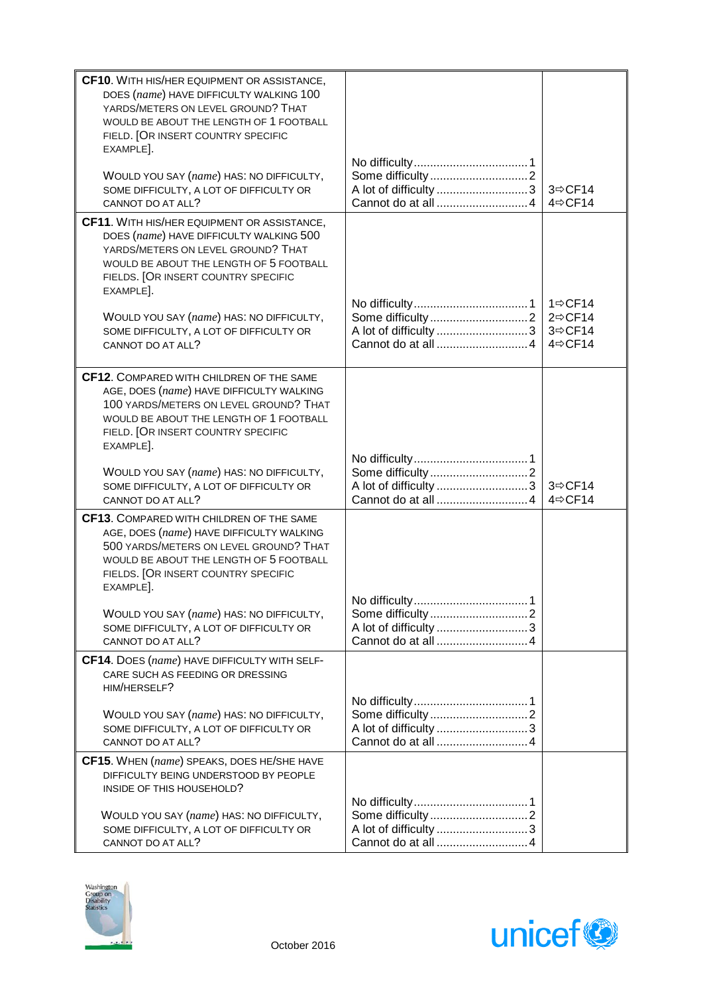| CF10. WITH HIS/HER EQUIPMENT OR ASSISTANCE,<br>DOES (name) HAVE DIFFICULTY WALKING 100<br>YARDS/METERS ON LEVEL GROUND? THAT<br>WOULD BE ABOUT THE LENGTH OF 1 FOOTBALL<br>FIELD. [OR INSERT COUNTRY SPECIFIC<br>EXAMPLE].    |                       |                                                                   |
|-------------------------------------------------------------------------------------------------------------------------------------------------------------------------------------------------------------------------------|-----------------------|-------------------------------------------------------------------|
| WOULD YOU SAY (name) HAS: NO DIFFICULTY,<br>SOME DIFFICULTY, A LOT OF DIFFICULTY OR<br>CANNOT DO AT ALL?                                                                                                                      | A lot of difficulty 3 | $3 \Rightarrow C F14$<br>4⇔CF14                                   |
| CF11. WITH HIS/HER EQUIPMENT OR ASSISTANCE,<br>DOES (name) HAVE DIFFICULTY WALKING 500<br>YARDS/METERS ON LEVEL GROUND? THAT<br>WOULD BE ABOUT THE LENGTH OF 5 FOOTBALL<br>FIELDS. [OR INSERT COUNTRY SPECIFIC<br>EXAMPLE].   |                       |                                                                   |
| WOULD YOU SAY (name) HAS: NO DIFFICULTY,<br>SOME DIFFICULTY, A LOT OF DIFFICULTY OR<br>CANNOT DO AT ALL?                                                                                                                      |                       | 1 $\Rightarrow$ CF14<br>$2 \Rightarrow C F14$<br>3⇔CF14<br>4⇔CF14 |
| CF12. COMPARED WITH CHILDREN OF THE SAME<br>AGE, DOES (name) HAVE DIFFICULTY WALKING<br>100 YARDS/METERS ON LEVEL GROUND? THAT<br>WOULD BE ABOUT THE LENGTH OF 1 FOOTBALL<br>FIELD. [OR INSERT COUNTRY SPECIFIC<br>EXAMPLE].  |                       |                                                                   |
| WOULD YOU SAY (name) HAS: NO DIFFICULTY,<br>SOME DIFFICULTY, A LOT OF DIFFICULTY OR<br>CANNOT DO AT ALL?                                                                                                                      | A lot of difficulty 3 | 3⇔CF14<br>4 $\Leftrightarrow$ CF14                                |
| CF13. COMPARED WITH CHILDREN OF THE SAME<br>AGE, DOES (name) HAVE DIFFICULTY WALKING<br>500 YARDS/METERS ON LEVEL GROUND? THAT<br>WOULD BE ABOUT THE LENGTH OF 5 FOOTBALL<br>FIELDS. [OR INSERT COUNTRY SPECIFIC<br>EXAMPLE]. |                       |                                                                   |
| WOULD YOU SAY (name) HAS: NO DIFFICULTY,<br>SOME DIFFICULTY, A LOT OF DIFFICULTY OR<br>CANNOT DO AT ALL?                                                                                                                      |                       |                                                                   |
| CF14. DOES (name) HAVE DIFFICULTY WITH SELF-<br>CARE SUCH AS FEEDING OR DRESSING<br>HIM/HERSELF?                                                                                                                              |                       |                                                                   |
| WOULD YOU SAY (name) HAS: NO DIFFICULTY,<br>SOME DIFFICULTY, A LOT OF DIFFICULTY OR<br>CANNOT DO AT ALL?                                                                                                                      | A lot of difficulty 3 |                                                                   |
| CF15. WHEN (name) SPEAKS, DOES HE/SHE HAVE<br>DIFFICULTY BEING UNDERSTOOD BY PEOPLE<br>INSIDE OF THIS HOUSEHOLD?<br>WOULD YOU SAY (name) HAS: NO DIFFICULTY,                                                                  |                       |                                                                   |
| SOME DIFFICULTY, A LOT OF DIFFICULTY OR<br>CANNOT DO AT ALL?                                                                                                                                                                  |                       |                                                                   |



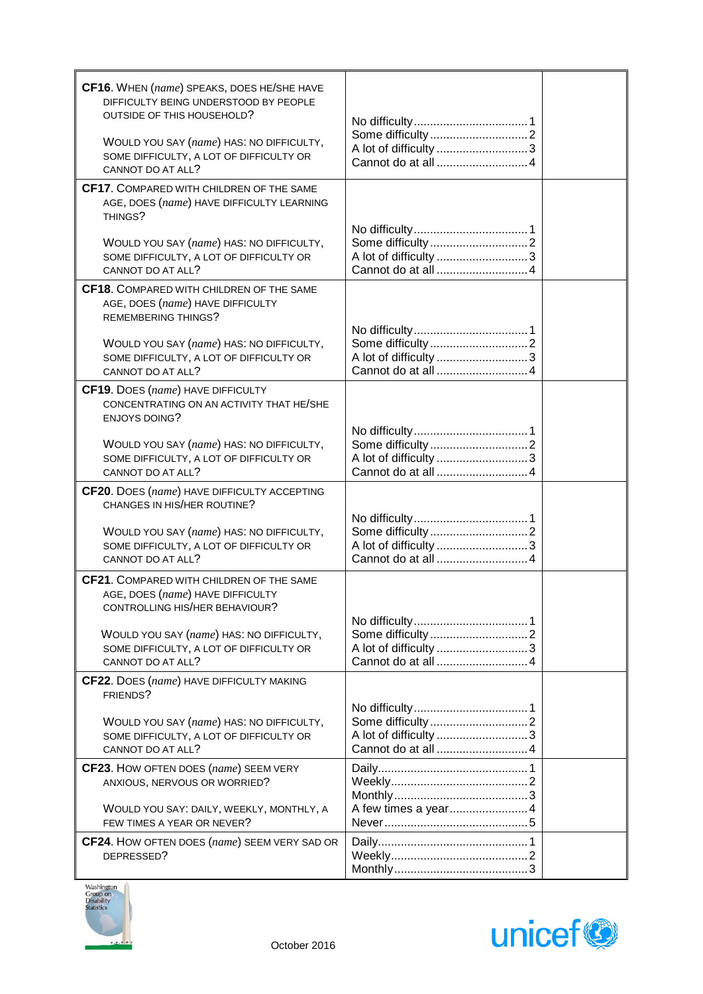| CF16. WHEN (name) SPEAKS, DOES HE/SHE HAVE<br>DIFFICULTY BEING UNDERSTOOD BY PEOPLE<br>OUTSIDE OF THIS HOUSEHOLD?<br>WOULD YOU SAY (name) HAS: NO DIFFICULTY,<br>SOME DIFFICULTY, A LOT OF DIFFICULTY OR<br>CANNOT DO AT ALL? |                       |  |
|-------------------------------------------------------------------------------------------------------------------------------------------------------------------------------------------------------------------------------|-----------------------|--|
| <b>CF17.</b> COMPARED WITH CHILDREN OF THE SAME<br>AGE, DOES (name) HAVE DIFFICULTY LEARNING<br>THINGS?<br>WOULD YOU SAY (name) HAS: NO DIFFICULTY,                                                                           |                       |  |
| SOME DIFFICULTY, A LOT OF DIFFICULTY OR<br>CANNOT DO AT ALL?                                                                                                                                                                  | A lot of difficulty 3 |  |
| CF18. COMPARED WITH CHILDREN OF THE SAME<br>AGE, DOES (name) HAVE DIFFICULTY<br><b>REMEMBERING THINGS?</b><br>WOULD YOU SAY (name) HAS: NO DIFFICULTY,<br>SOME DIFFICULTY, A LOT OF DIFFICULTY OR<br>CANNOT DO AT ALL?        |                       |  |
| <b>CF19.</b> DOES (name) HAVE DIFFICULTY<br>CONCENTRATING ON AN ACTIVITY THAT HE/SHE<br><b>ENJOYS DOING?</b><br>WOULD YOU SAY (name) HAS: NO DIFFICULTY,<br>SOME DIFFICULTY, A LOT OF DIFFICULTY OR<br>CANNOT DO AT ALL?      |                       |  |
| CF20. DOES (name) HAVE DIFFICULTY ACCEPTING<br>CHANGES IN HIS/HER ROUTINE?<br>WOULD YOU SAY (name) HAS: NO DIFFICULTY,<br>SOME DIFFICULTY, A LOT OF DIFFICULTY OR                                                             |                       |  |
| CANNOT DO AT ALL?<br>CF21. COMPARED WITH CHILDREN OF THE SAME                                                                                                                                                                 |                       |  |
| AGE, DOES (name) HAVE DIFFICULTY<br>CONTROLLING HIS/HER BEHAVIOUR?<br>WOULD YOU SAY (name) HAS: NO DIFFICULTY,<br>SOME DIFFICULTY, A LOT OF DIFFICULTY OR                                                                     | A lot of difficulty 3 |  |
| CANNOT DO AT ALL?<br><b>CF22.</b> DOES (name) HAVE DIFFICULTY MAKING<br>FRIENDS?                                                                                                                                              |                       |  |
| WOULD YOU SAY (name) HAS: NO DIFFICULTY,<br>SOME DIFFICULTY, A LOT OF DIFFICULTY OR<br>CANNOT DO AT ALL?                                                                                                                      |                       |  |
| <b>CF23.</b> HOW OFTEN DOES (name) SEEM VERY<br>ANXIOUS, NERVOUS OR WORRIED?                                                                                                                                                  |                       |  |
| WOULD YOU SAY: DAILY, WEEKLY, MONTHLY, A<br>FEW TIMES A YEAR OR NEVER?                                                                                                                                                        | A few times a year4   |  |
| <b>CF24.</b> HOW OFTEN DOES (name) SEEM VERY SAD OR<br>DEPRESSED?                                                                                                                                                             |                       |  |